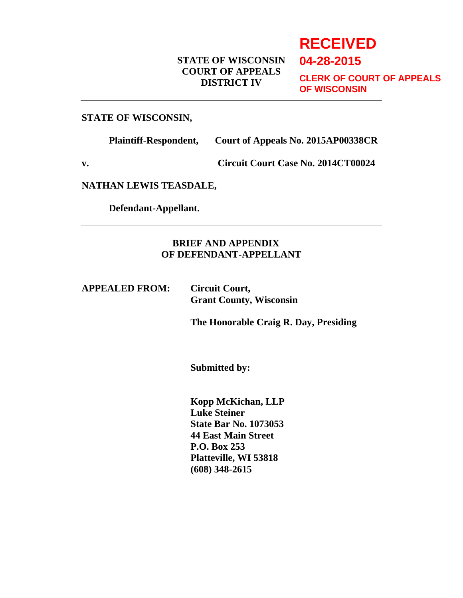# **RECEIVED**

**04-28-2015**

# **STATE OF WISCONSIN COURT OF APPEALS DISTRICT IV**

**CLERK OF COURT OF APPEALS OF WISCONSIN**

#### **STATE OF WISCONSIN,**

**Plaintiff-Respondent, Court of Appeals No. 2015AP00338CR**

**v. Circuit Court Case No. 2014CT00024**

**NATHAN LEWIS TEASDALE,**

 **Defendant-Appellant.**

# **BRIEF AND APPENDIX OF DEFENDANT-APPELLANT**

**APPEALED FROM: Circuit Court, Grant County, Wisconsin**

**The Honorable Craig R. Day, Presiding**

**Submitted by:**

**Kopp McKichan, LLP Luke Steiner State Bar No. 1073053 44 East Main Street P.O. Box 253 Platteville, WI 53818 (608) 348-2615**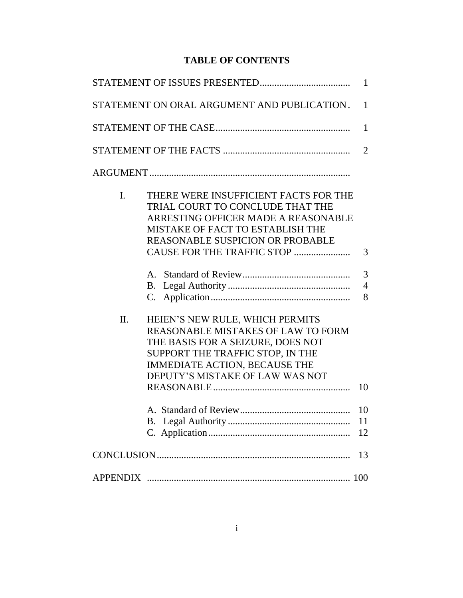# **TABLE OF CONTENTS**

|     |                                                                                                                                                                                                                               | $\mathbf{1}$         |
|-----|-------------------------------------------------------------------------------------------------------------------------------------------------------------------------------------------------------------------------------|----------------------|
|     | STATEMENT ON ORAL ARGUMENT AND PUBLICATION.                                                                                                                                                                                   | $\mathbf{1}$         |
|     |                                                                                                                                                                                                                               | $\mathbf{1}$         |
|     |                                                                                                                                                                                                                               | $\overline{2}$       |
|     |                                                                                                                                                                                                                               |                      |
| I.  | THERE WERE INSUFFICIENT FACTS FOR THE<br>TRIAL COURT TO CONCLUDE THAT THE<br>ARRESTING OFFICER MADE A REASONABLE<br>MISTAKE OF FACT TO ESTABLISH THE<br><b>REASONABLE SUSPICION OR PROBABLE</b><br>CAUSE FOR THE TRAFFIC STOP | 3<br>3               |
|     | <b>B.</b><br>C.                                                                                                                                                                                                               | $\overline{4}$<br>8  |
| II. | HEIEN'S NEW RULE, WHICH PERMITS<br><b>REASONABLE MISTAKES OF LAW TO FORM</b><br>THE BASIS FOR A SEIZURE, DOES NOT<br>SUPPORT THE TRAFFIC STOP, IN THE<br>IMMEDIATE ACTION, BECAUSE THE<br>DEPUTY'S MISTAKE OF LAW WAS NOT     |                      |
|     |                                                                                                                                                                                                                               | 10<br>10<br>11<br>12 |
|     |                                                                                                                                                                                                                               | 13                   |
|     |                                                                                                                                                                                                                               | 100                  |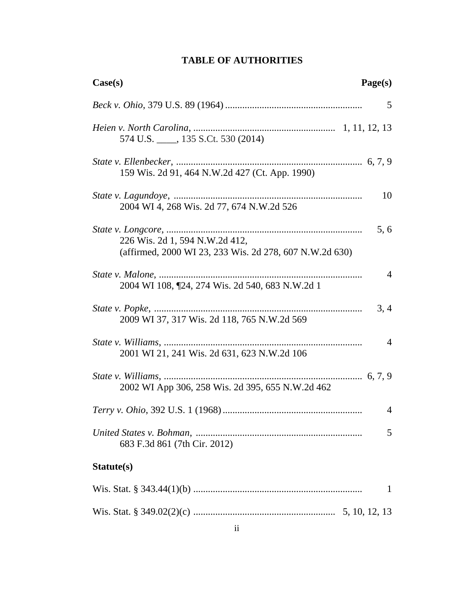| Page(s)<br>Case(s)                                                                               |                |
|--------------------------------------------------------------------------------------------------|----------------|
|                                                                                                  | 5              |
| 574 U.S. 135 S.Ct. 530 (2014)                                                                    |                |
| 159 Wis. 2d 91, 464 N.W.2d 427 (Ct. App. 1990)                                                   |                |
| 2004 WI 4, 268 Wis. 2d 77, 674 N.W.2d 526                                                        | 10             |
| 5,6<br>226 Wis. 2d 1, 594 N.W.2d 412,<br>(affirmed, 2000 WI 23, 233 Wis. 2d 278, 607 N.W.2d 630) |                |
| 2004 WI 108, [24, 274 Wis. 2d 540, 683 N.W.2d 1                                                  | 4              |
| 3, 4<br>2009 WI 37, 317 Wis. 2d 118, 765 N.W.2d 569                                              |                |
| 2001 WI 21, 241 Wis. 2d 631, 623 N.W.2d 106                                                      | $\overline{4}$ |
| 2002 WI App 306, 258 Wis. 2d 395, 655 N.W.2d 462                                                 |                |
|                                                                                                  | 4              |
| 683 F.3d 861 (7th Cir. 2012)                                                                     | 5              |
| Statute(s)                                                                                       |                |
|                                                                                                  | $\mathbf{1}$   |
|                                                                                                  |                |

# **TABLE OF AUTHORITIES**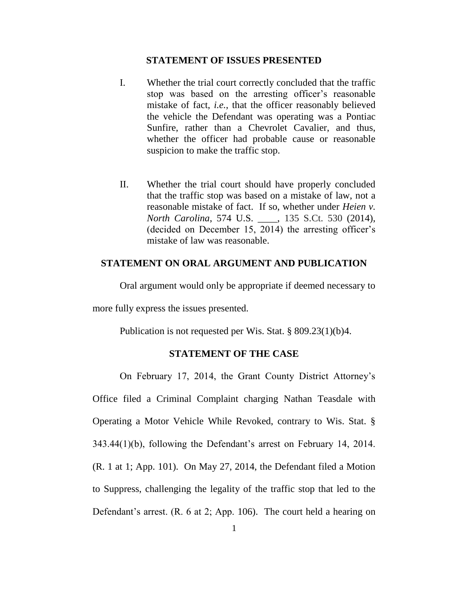#### **STATEMENT OF ISSUES PRESENTED**

- I. Whether the trial court correctly concluded that the traffic stop was based on the arresting officer's reasonable mistake of fact, *i.e.*, that the officer reasonably believed the vehicle the Defendant was operating was a Pontiac Sunfire, rather than a Chevrolet Cavalier, and thus, whether the officer had probable cause or reasonable suspicion to make the traffic stop.
- II. Whether the trial court should have properly concluded that the traffic stop was based on a mistake of law, not a reasonable mistake of fact. If so, whether under *Heien v. North Carolina*, 574 U.S. \_\_\_\_, 135 S.Ct. 530 (2014), (decided on December 15, 2014) the arresting officer's mistake of law was reasonable.

#### **STATEMENT ON ORAL ARGUMENT AND PUBLICATION**

Oral argument would only be appropriate if deemed necessary to

more fully express the issues presented.

Publication is not requested per Wis. Stat. § 809.23(1)(b)4.

### **STATEMENT OF THE CASE**

On February 17, 2014, the Grant County District Attorney's Office filed a Criminal Complaint charging Nathan Teasdale with Operating a Motor Vehicle While Revoked, contrary to Wis. Stat. § 343.44(1)(b), following the Defendant's arrest on February 14, 2014. (R. 1 at 1; App. 101). On May 27, 2014, the Defendant filed a Motion to Suppress, challenging the legality of the traffic stop that led to the Defendant's arrest. (R. 6 at 2; App. 106). The court held a hearing on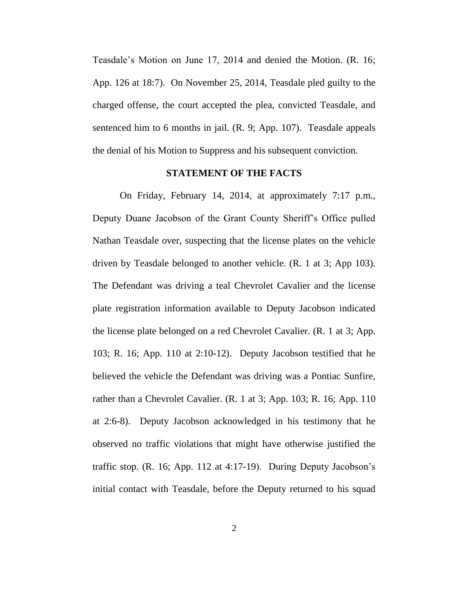Teasdale's Motion on June 17, 2014 and denied the Motion. (R. 16; App. 126 at 18:7). On November 25, 2014, Teasdale pled guilty to the charged offense, the court accepted the plea, convicted Teasdale, and sentenced him to 6 months in jail. (R. 9; App. 107). Teasdale appeals the denial of his Motion to Suppress and his subsequent conviction.

#### **STATEMENT OF THE FACTS**

On Friday, February 14, 2014, at approximately 7:17 p.m., Deputy Duane Jacobson of the Grant County Sheriff's Office pulled Nathan Teasdale over, suspecting that the license plates on the vehicle driven by Teasdale belonged to another vehicle. (R. 1 at 3; App 103). The Defendant was driving a teal Chevrolet Cavalier and the license plate registration information available to Deputy Jacobson indicated the license plate belonged on a red Chevrolet Cavalier. (R. 1 at 3; App. 103; R. 16; App. 110 at 2:10-12). Deputy Jacobson testified that he believed the vehicle the Defendant was driving was a Pontiac Sunfire, rather than a Chevrolet Cavalier. (R. 1 at 3; App. 103; R. 16; App. 110 at 2:6-8). Deputy Jacobson acknowledged in his testimony that he observed no traffic violations that might have otherwise justified the traffic stop. (R. 16; App. 112 at 4:17-19). During Deputy Jacobson's initial contact with Teasdale, before the Deputy returned to his squad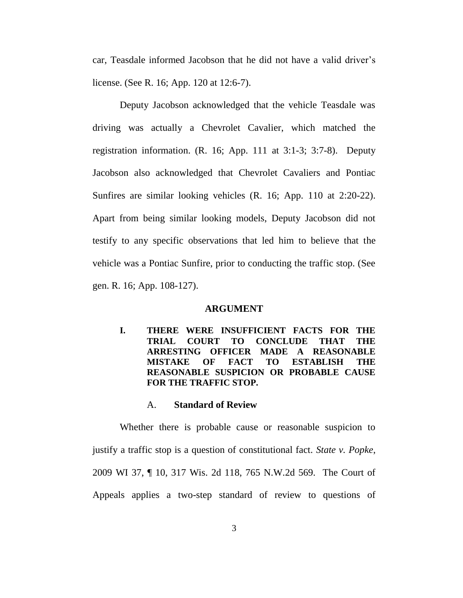car, Teasdale informed Jacobson that he did not have a valid driver's license. (See R. 16; App. 120 at 12:6-7).

Deputy Jacobson acknowledged that the vehicle Teasdale was driving was actually a Chevrolet Cavalier, which matched the registration information. (R. 16; App. 111 at 3:1-3; 3:7-8). Deputy Jacobson also acknowledged that Chevrolet Cavaliers and Pontiac Sunfires are similar looking vehicles (R. 16; App. 110 at 2:20-22). Apart from being similar looking models, Deputy Jacobson did not testify to any specific observations that led him to believe that the vehicle was a Pontiac Sunfire, prior to conducting the traffic stop. (See gen. R. 16; App. 108-127).

### **ARGUMENT**

**I. THERE WERE INSUFFICIENT FACTS FOR THE TRIAL COURT TO CONCLUDE THAT THE ARRESTING OFFICER MADE A REASONABLE MISTAKE OF FACT TO ESTABLISH THE REASONABLE SUSPICION OR PROBABLE CAUSE FOR THE TRAFFIC STOP.**

### A. **Standard of Review**

Whether there is probable cause or reasonable suspicion to justify a traffic stop is a question of constitutional fact. *State v. Popke*, 2009 WI 37, ¶ 10, 317 Wis. 2d 118, 765 N.W.2d 569. The Court of Appeals applies a two-step standard of review to questions of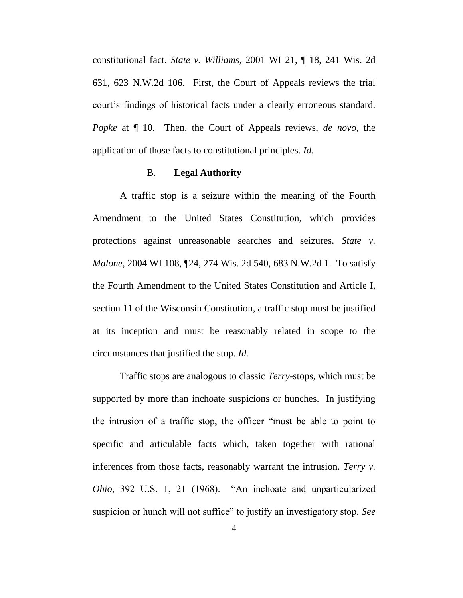constitutional fact. *State v. Williams*, 2001 WI 21, ¶ 18, 241 Wis. 2d 631, 623 N.W.2d 106. First, the Court of Appeals reviews the trial court's findings of historical facts under a clearly erroneous standard. *Popke* at ¶ 10. Then, the Court of Appeals reviews, *de novo*, the application of those facts to constitutional principles. *Id.*

#### B. **Legal Authority**

A traffic stop is a seizure within the meaning of the Fourth Amendment to the United States Constitution, which provides protections against unreasonable searches and seizures. *State v. Malone*, 2004 WI 108, ¶24, 274 Wis. 2d 540, 683 N.W.2d 1. To satisfy the Fourth Amendment to the United States Constitution and Article I, section 11 of the Wisconsin Constitution, a traffic stop must be justified at its inception and must be reasonably related in scope to the circumstances that justified the stop. *Id.*

Traffic stops are analogous to classic *Terry*-stops, which must be supported by more than inchoate suspicions or hunches. In justifying the intrusion of a traffic stop, the officer "must be able to point to specific and articulable facts which, taken together with rational inferences from those facts, reasonably warrant the intrusion. *Terry v. Ohio*, 392 U.S. 1, 21 (1968). "An inchoate and unparticularized suspicion or hunch will not suffice" to justify an investigatory stop. *See*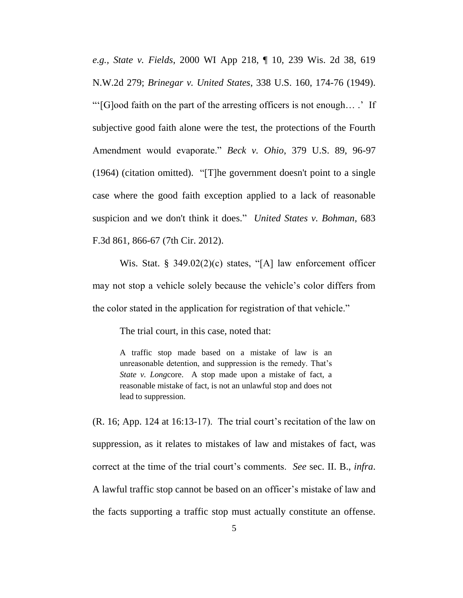*e.g., State v. Fields*, 2000 WI App 218, ¶ 10, 239 Wis. 2d 38, 619 N.W.2d 279; *Brinegar v. United States*, 338 U.S. 160, 174-76 (1949). "'[G]ood faith on the part of the arresting officers is not enough… .' If subjective good faith alone were the test, the protections of the Fourth Amendment would evaporate." *Beck v. Ohio*, 379 U.S. 89, 96-97 (1964) (citation omitted). "[T]he government doesn't point to a single case where the good faith exception applied to a lack of reasonable suspicion and we don't think it does." *United States v. Bohman*, 683 F.3d 861, 866-67 (7th Cir. 2012).

Wis. Stat. § 349.02(2)(c) states, "[A] law enforcement officer may not stop a vehicle solely because the vehicle's color differs from the color stated in the application for registration of that vehicle."

The trial court, in this case, noted that:

A traffic stop made based on a mistake of law is an unreasonable detention, and suppression is the remedy. That's *State v. Long*core. A stop made upon a mistake of fact, a reasonable mistake of fact, is not an unlawful stop and does not lead to suppression.

(R. 16; App. 124 at 16:13-17). The trial court's recitation of the law on suppression, as it relates to mistakes of law and mistakes of fact, was correct at the time of the trial court's comments. *See* sec. II. B., *infra*. A lawful traffic stop cannot be based on an officer's mistake of law and the facts supporting a traffic stop must actually constitute an offense.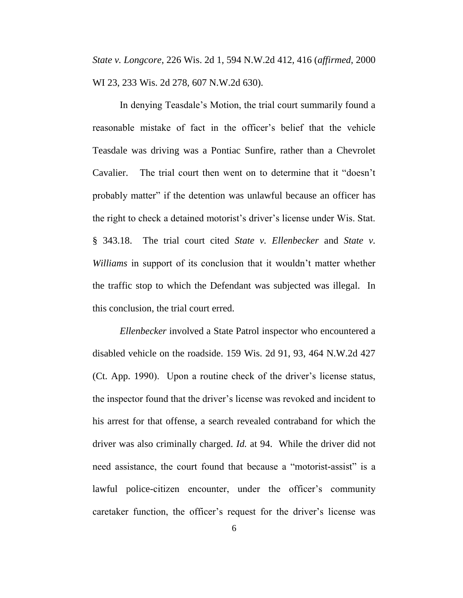*State v. Longcore*, 226 Wis. 2d 1, 594 N.W.2d 412, 416 (*affirmed*, 2000 WI 23, 233 Wis. 2d 278, 607 N.W.2d 630).

In denying Teasdale's Motion, the trial court summarily found a reasonable mistake of fact in the officer's belief that the vehicle Teasdale was driving was a Pontiac Sunfire, rather than a Chevrolet Cavalier. The trial court then went on to determine that it "doesn't probably matter" if the detention was unlawful because an officer has the right to check a detained motorist's driver's license under Wis. Stat. § 343.18. The trial court cited *State v. Ellenbecker* and *State v. Williams* in support of its conclusion that it wouldn't matter whether the traffic stop to which the Defendant was subjected was illegal. In this conclusion, the trial court erred.

*Ellenbecker* involved a State Patrol inspector who encountered a disabled vehicle on the roadside. 159 Wis. 2d 91, 93, 464 N.W.2d 427 (Ct. App. 1990). Upon a routine check of the driver's license status, the inspector found that the driver's license was revoked and incident to his arrest for that offense, a search revealed contraband for which the driver was also criminally charged. *Id.* at 94. While the driver did not need assistance, the court found that because a "motorist-assist" is a lawful police-citizen encounter, under the officer's community caretaker function, the officer's request for the driver's license was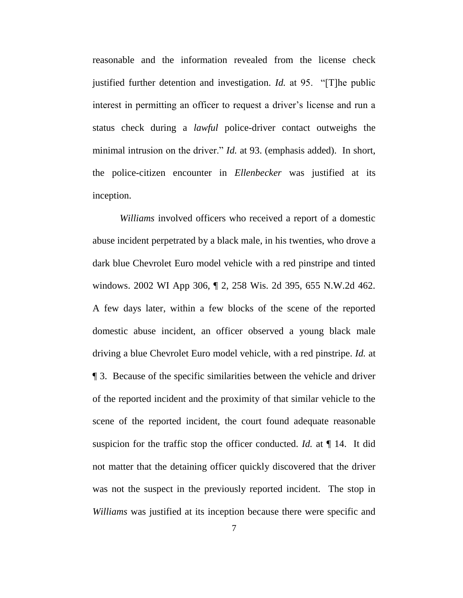reasonable and the information revealed from the license check justified further detention and investigation. *Id.* at 95. "[T]he public interest in permitting an officer to request a driver's license and run a status check during a *lawful* police-driver contact outweighs the minimal intrusion on the driver." *Id.* at 93. (emphasis added). In short, the police-citizen encounter in *Ellenbecker* was justified at its inception.

*Williams* involved officers who received a report of a domestic abuse incident perpetrated by a black male, in his twenties, who drove a dark blue Chevrolet Euro model vehicle with a red pinstripe and tinted windows. 2002 WI App 306, ¶ 2, 258 Wis. 2d 395, 655 N.W.2d 462. A few days later, within a few blocks of the scene of the reported domestic abuse incident, an officer observed a young black male driving a blue Chevrolet Euro model vehicle, with a red pinstripe. *Id.* at ¶ 3. Because of the specific similarities between the vehicle and driver of the reported incident and the proximity of that similar vehicle to the scene of the reported incident, the court found adequate reasonable suspicion for the traffic stop the officer conducted. *Id.* at ¶ 14. It did not matter that the detaining officer quickly discovered that the driver was not the suspect in the previously reported incident. The stop in *Williams* was justified at its inception because there were specific and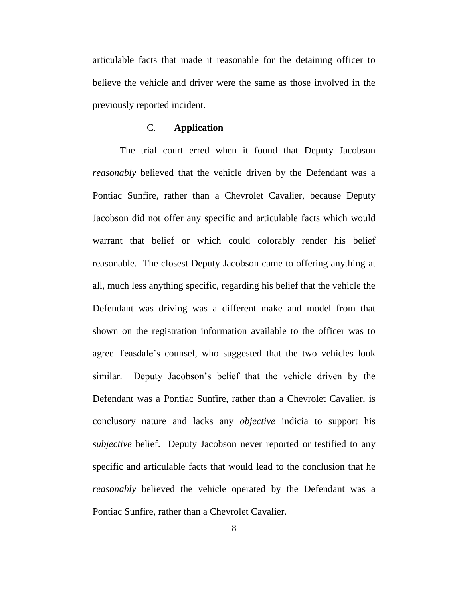articulable facts that made it reasonable for the detaining officer to believe the vehicle and driver were the same as those involved in the previously reported incident.

### C. **Application**

The trial court erred when it found that Deputy Jacobson *reasonably* believed that the vehicle driven by the Defendant was a Pontiac Sunfire, rather than a Chevrolet Cavalier, because Deputy Jacobson did not offer any specific and articulable facts which would warrant that belief or which could colorably render his belief reasonable. The closest Deputy Jacobson came to offering anything at all, much less anything specific, regarding his belief that the vehicle the Defendant was driving was a different make and model from that shown on the registration information available to the officer was to agree Teasdale's counsel, who suggested that the two vehicles look similar. Deputy Jacobson's belief that the vehicle driven by the Defendant was a Pontiac Sunfire, rather than a Chevrolet Cavalier, is conclusory nature and lacks any *objective* indicia to support his *subjective* belief. Deputy Jacobson never reported or testified to any specific and articulable facts that would lead to the conclusion that he *reasonably* believed the vehicle operated by the Defendant was a Pontiac Sunfire, rather than a Chevrolet Cavalier.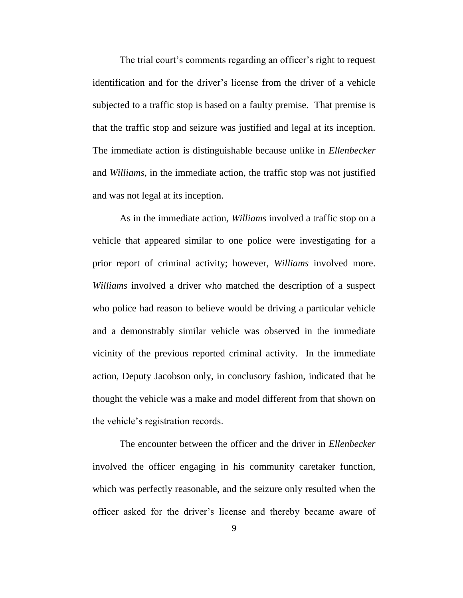The trial court's comments regarding an officer's right to request identification and for the driver's license from the driver of a vehicle subjected to a traffic stop is based on a faulty premise. That premise is that the traffic stop and seizure was justified and legal at its inception. The immediate action is distinguishable because unlike in *Ellenbecker* and *Williams*, in the immediate action, the traffic stop was not justified and was not legal at its inception.

As in the immediate action, *Williams* involved a traffic stop on a vehicle that appeared similar to one police were investigating for a prior report of criminal activity; however, *Williams* involved more. *Williams* involved a driver who matched the description of a suspect who police had reason to believe would be driving a particular vehicle and a demonstrably similar vehicle was observed in the immediate vicinity of the previous reported criminal activity. In the immediate action, Deputy Jacobson only, in conclusory fashion, indicated that he thought the vehicle was a make and model different from that shown on the vehicle's registration records.

The encounter between the officer and the driver in *Ellenbecker* involved the officer engaging in his community caretaker function, which was perfectly reasonable, and the seizure only resulted when the officer asked for the driver's license and thereby became aware of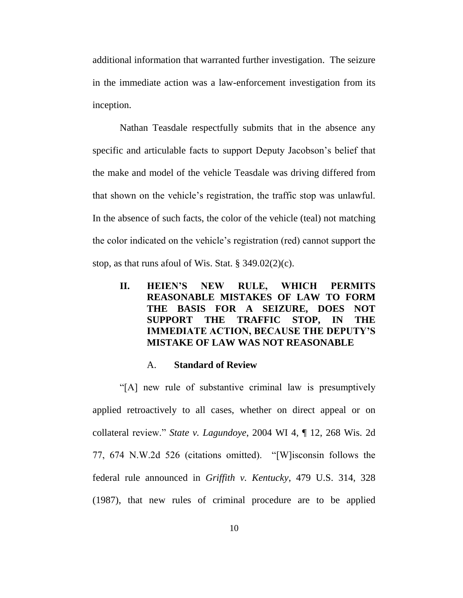additional information that warranted further investigation. The seizure in the immediate action was a law-enforcement investigation from its inception.

Nathan Teasdale respectfully submits that in the absence any specific and articulable facts to support Deputy Jacobson's belief that the make and model of the vehicle Teasdale was driving differed from that shown on the vehicle's registration, the traffic stop was unlawful. In the absence of such facts, the color of the vehicle (teal) not matching the color indicated on the vehicle's registration (red) cannot support the stop, as that runs afoul of Wis. Stat.  $\S$  349.02(2)(c).

**II. HEIEN'S NEW RULE, WHICH PERMITS REASONABLE MISTAKES OF LAW TO FORM THE BASIS FOR A SEIZURE, DOES NOT SUPPORT THE TRAFFIC STOP, IN THE IMMEDIATE ACTION, BECAUSE THE DEPUTY'S MISTAKE OF LAW WAS NOT REASONABLE** 

#### A. **Standard of Review**

"[A] new rule of substantive criminal law is presumptively applied retroactively to all cases, whether on direct appeal or on collateral review." *State v. Lagundoye*, 2004 WI 4, ¶ 12, 268 Wis. 2d 77, 674 N.W.2d 526 (citations omitted). "[W]isconsin follows the federal rule announced in *Griffith v. Kentucky*, 479 U.S. 314, 328 (1987), that new rules of criminal procedure are to be applied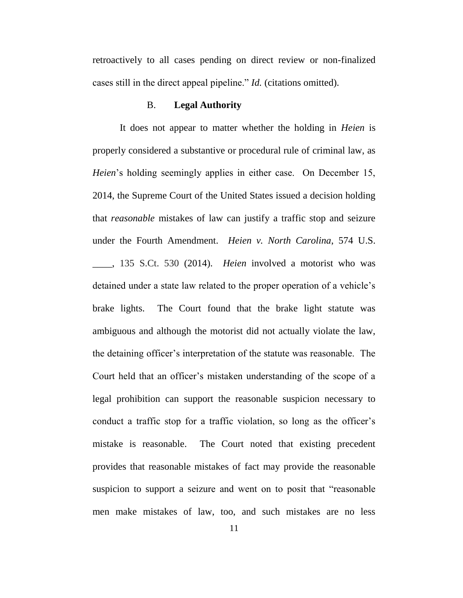retroactively to all cases pending on direct review or non-finalized cases still in the direct appeal pipeline." *Id.* (citations omitted).

#### B. **Legal Authority**

It does not appear to matter whether the holding in *Heien* is properly considered a substantive or procedural rule of criminal law, as *Heien*'s holding seemingly applies in either case. On December 15, 2014, the Supreme Court of the United States issued a decision holding that *reasonable* mistakes of law can justify a traffic stop and seizure under the Fourth Amendment. *Heien v. North Carolina*, 574 U.S. \_\_\_\_, 135 S.Ct. 530 (2014). *Heien* involved a motorist who was detained under a state law related to the proper operation of a vehicle's brake lights. The Court found that the brake light statute was ambiguous and although the motorist did not actually violate the law, the detaining officer's interpretation of the statute was reasonable. The Court held that an officer's mistaken understanding of the scope of a legal prohibition can support the reasonable suspicion necessary to conduct a traffic stop for a traffic violation, so long as the officer's mistake is reasonable. The Court noted that existing precedent provides that reasonable mistakes of fact may provide the reasonable suspicion to support a seizure and went on to posit that "reasonable men make mistakes of law, too, and such mistakes are no less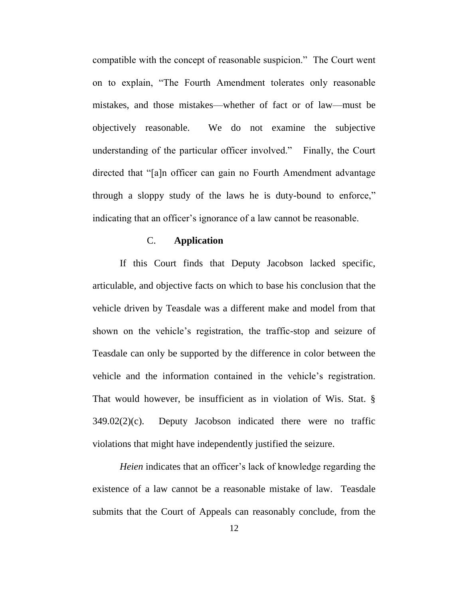compatible with the concept of reasonable suspicion." The Court went on to explain, "The Fourth Amendment tolerates only reasonable mistakes, and those mistakes—whether of fact or of law—must be objectively reasonable. We do not examine the subjective understanding of the particular officer involved." Finally, the Court directed that "[a]n officer can gain no Fourth Amendment advantage through a sloppy study of the laws he is duty-bound to enforce," indicating that an officer's ignorance of a law cannot be reasonable.

## C. **Application**

If this Court finds that Deputy Jacobson lacked specific, articulable, and objective facts on which to base his conclusion that the vehicle driven by Teasdale was a different make and model from that shown on the vehicle's registration, the traffic-stop and seizure of Teasdale can only be supported by the difference in color between the vehicle and the information contained in the vehicle's registration. That would however, be insufficient as in violation of Wis. Stat. § 349.02(2)(c). Deputy Jacobson indicated there were no traffic violations that might have independently justified the seizure.

*Heien* indicates that an officer's lack of knowledge regarding the existence of a law cannot be a reasonable mistake of law. Teasdale submits that the Court of Appeals can reasonably conclude, from the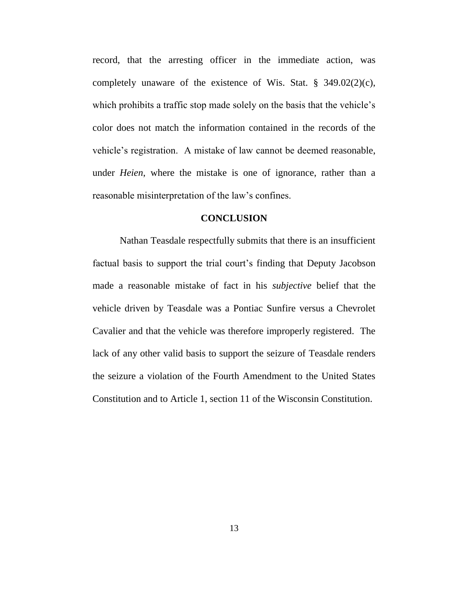record, that the arresting officer in the immediate action, was completely unaware of the existence of Wis. Stat. § 349.02(2)(c), which prohibits a traffic stop made solely on the basis that the vehicle's color does not match the information contained in the records of the vehicle's registration. A mistake of law cannot be deemed reasonable, under *Heien*, where the mistake is one of ignorance, rather than a reasonable misinterpretation of the law's confines.

#### **CONCLUSION**

Nathan Teasdale respectfully submits that there is an insufficient factual basis to support the trial court's finding that Deputy Jacobson made a reasonable mistake of fact in his *subjective* belief that the vehicle driven by Teasdale was a Pontiac Sunfire versus a Chevrolet Cavalier and that the vehicle was therefore improperly registered. The lack of any other valid basis to support the seizure of Teasdale renders the seizure a violation of the Fourth Amendment to the United States Constitution and to Article 1, section 11 of the Wisconsin Constitution.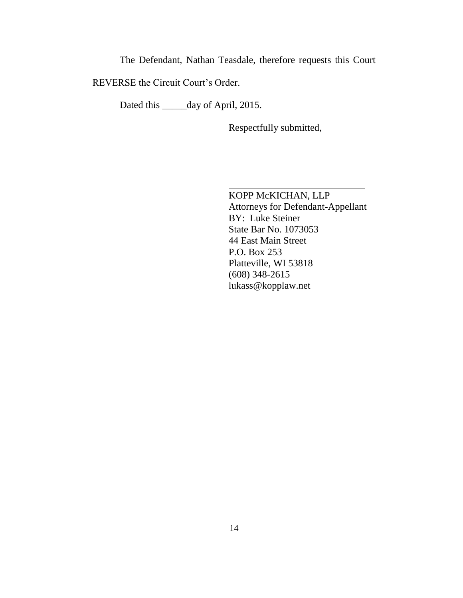The Defendant, Nathan Teasdale, therefore requests this Court

REVERSE the Circuit Court's Order.

Dated this \_\_\_\_\_day of April, 2015.

Respectfully submitted,

KOPP McKICHAN, LLP Attorneys for Defendant-Appellant BY: Luke Steiner State Bar No. 1073053 44 East Main Street P.O. Box 253 Platteville, WI 53818 (608) 348-2615 lukass@kopplaw.net